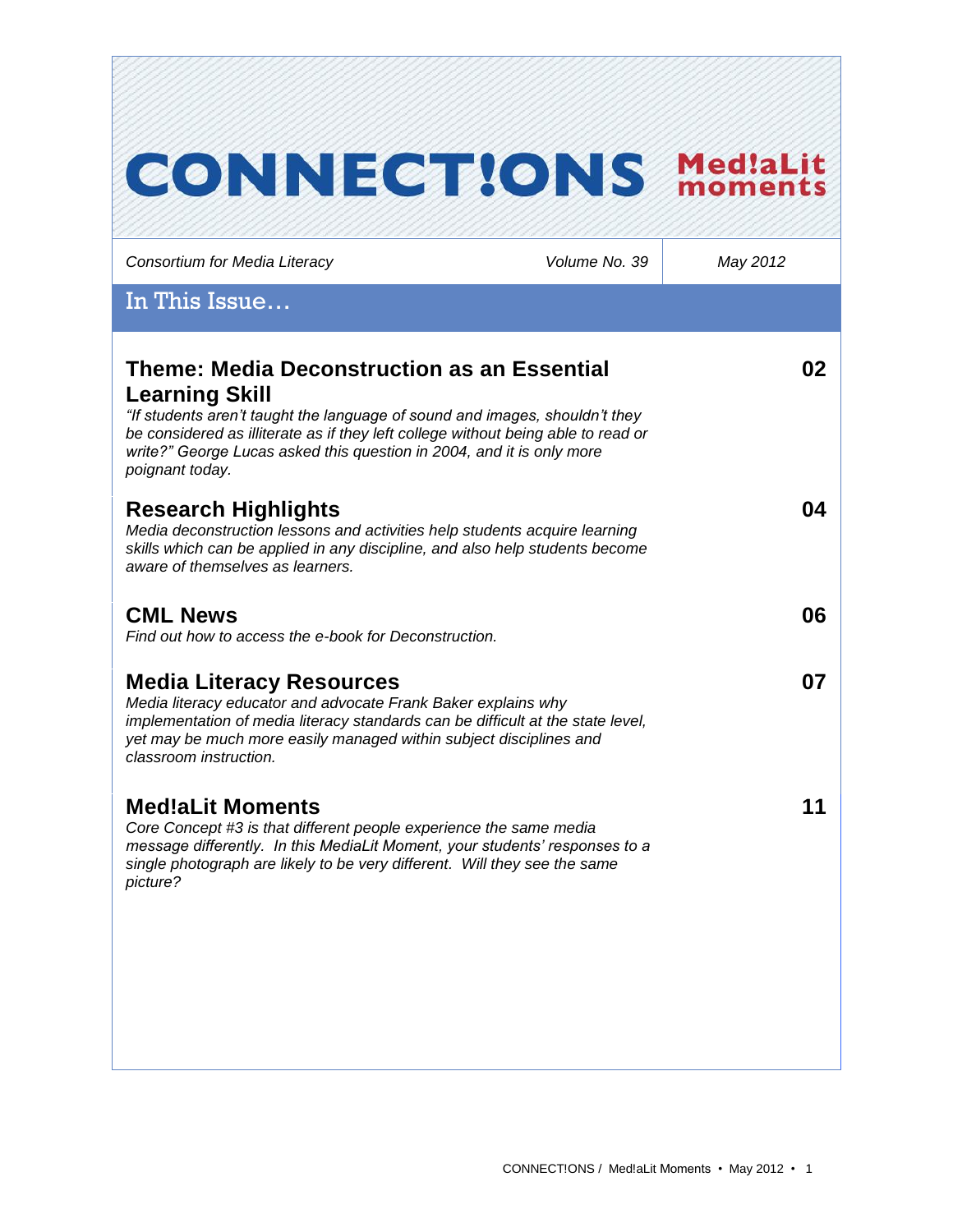| <b>CONNECTIONS</b>                                                                                                                                                                                                                                                                                                                          |               | Med!aLit<br>moment |
|---------------------------------------------------------------------------------------------------------------------------------------------------------------------------------------------------------------------------------------------------------------------------------------------------------------------------------------------|---------------|--------------------|
| Consortium for Media Literacy                                                                                                                                                                                                                                                                                                               | Volume No. 39 | May 2012           |
| In This Issue                                                                                                                                                                                                                                                                                                                               |               |                    |
| <b>Theme: Media Deconstruction as an Essential</b><br><b>Learning Skill</b><br>"If students aren't taught the language of sound and images, shouldn't they<br>be considered as illiterate as if they left college without being able to read or<br>write?" George Lucas asked this question in 2004, and it is only more<br>poignant today. |               | 02                 |
| <b>Research Highlights</b><br>Media deconstruction lessons and activities help students acquire learning<br>skills which can be applied in any discipline, and also help students become<br>aware of themselves as learners.                                                                                                                |               | 04                 |
| <b>CML News</b><br>Find out how to access the e-book for Deconstruction.                                                                                                                                                                                                                                                                    |               | 06                 |
| <b>Media Literacy Resources</b><br>Media literacy educator and advocate Frank Baker explains why<br>implementation of media literacy standards can be difficult at the state level,<br>yet may be much more easily managed within subject disciplines and<br>classroom instruction.                                                         |               | 07                 |
| <b>Med!aLit Moments</b><br>Core Concept #3 is that different people experience the same media<br>message differently. In this MediaLit Moment, your students' responses to a<br>single photograph are likely to be very different. Will they see the same<br>picture?                                                                       |               | 11                 |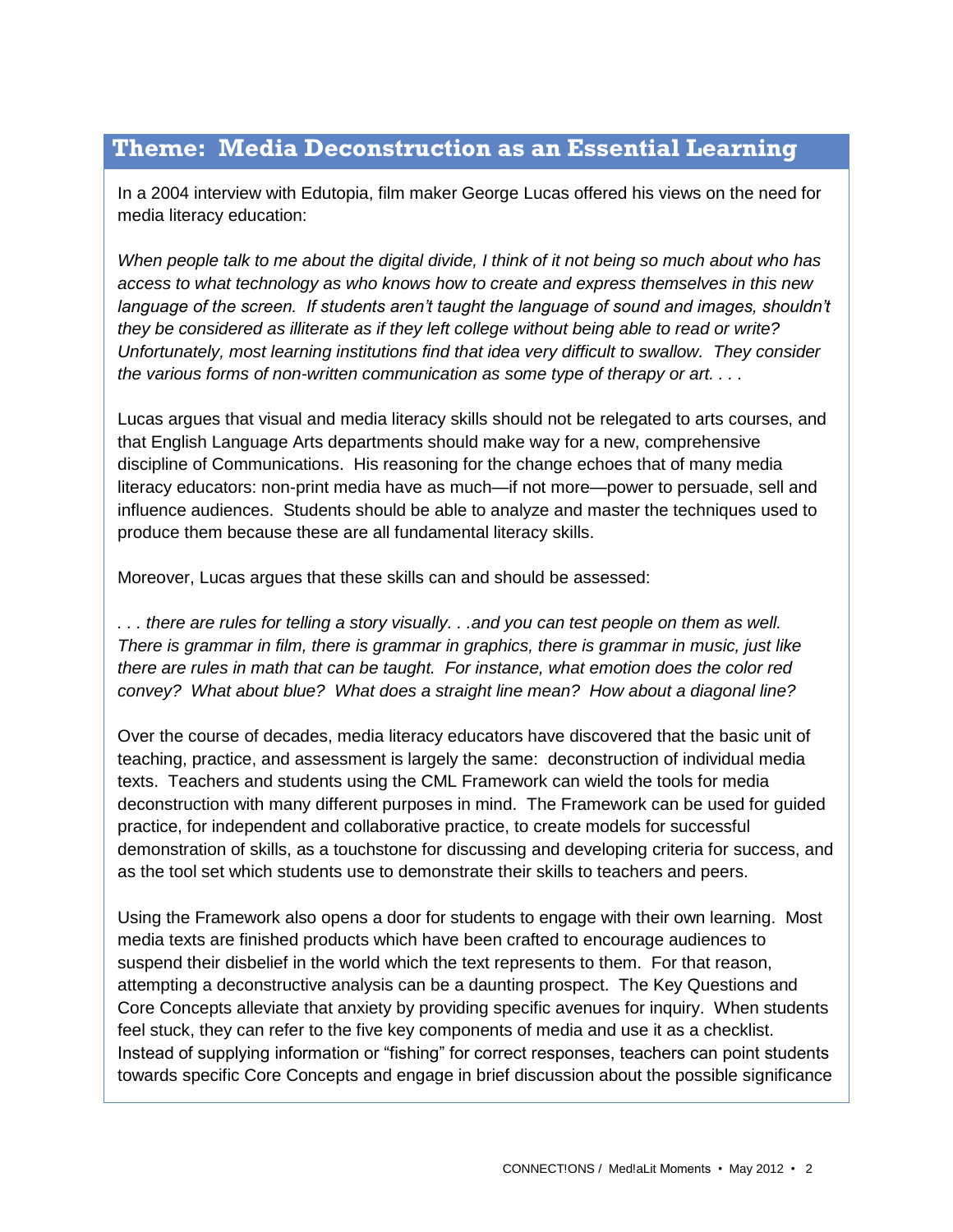# **Theme: Media Deconstruction as an Essential Learning**

In a 2004 interview with Edutopia, film maker George Lucas offered his views on the need for media literacy education:

*When people talk to me about the digital divide, I think of it not being so much about who has access to what technology as who knows how to create and express themselves in this new*  language of the screen. If students aren't taught the language of sound and images, shouldn't *they be considered as illiterate as if they left college without being able to read or write? Unfortunately, most learning institutions find that idea very difficult to swallow. They consider the various forms of non-written communication as some type of therapy or art. . . .*

Lucas argues that visual and media literacy skills should not be relegated to arts courses, and that English Language Arts departments should make way for a new, comprehensive discipline of Communications. His reasoning for the change echoes that of many media literacy educators: non-print media have as much—if not more—power to persuade, sell and influence audiences. Students should be able to analyze and master the techniques used to produce them because these are all fundamental literacy skills.

Moreover, Lucas argues that these skills can and should be assessed:

*. . . there are rules for telling a story visually. . .and you can test people on them as well. There is grammar in film, there is grammar in graphics, there is grammar in music, just like there are rules in math that can be taught. For instance, what emotion does the color red convey? What about blue? What does a straight line mean? How about a diagonal line?* 

Over the course of decades, media literacy educators have discovered that the basic unit of teaching, practice, and assessment is largely the same: deconstruction of individual media texts. Teachers and students using the CML Framework can wield the tools for media deconstruction with many different purposes in mind. The Framework can be used for guided practice, for independent and collaborative practice, to create models for successful demonstration of skills, as a touchstone for discussing and developing criteria for success, and as the tool set which students use to demonstrate their skills to teachers and peers.

Using the Framework also opens a door for students to engage with their own learning. Most media texts are finished products which have been crafted to encourage audiences to suspend their disbelief in the world which the text represents to them. For that reason, attempting a deconstructive analysis can be a daunting prospect. The Key Questions and Core Concepts alleviate that anxiety by providing specific avenues for inquiry. When students feel stuck, they can refer to the five key components of media and use it as a checklist. Instead of supplying information or "fishing" for correct responses, teachers can point students towards specific Core Concepts and engage in brief discussion about the possible significance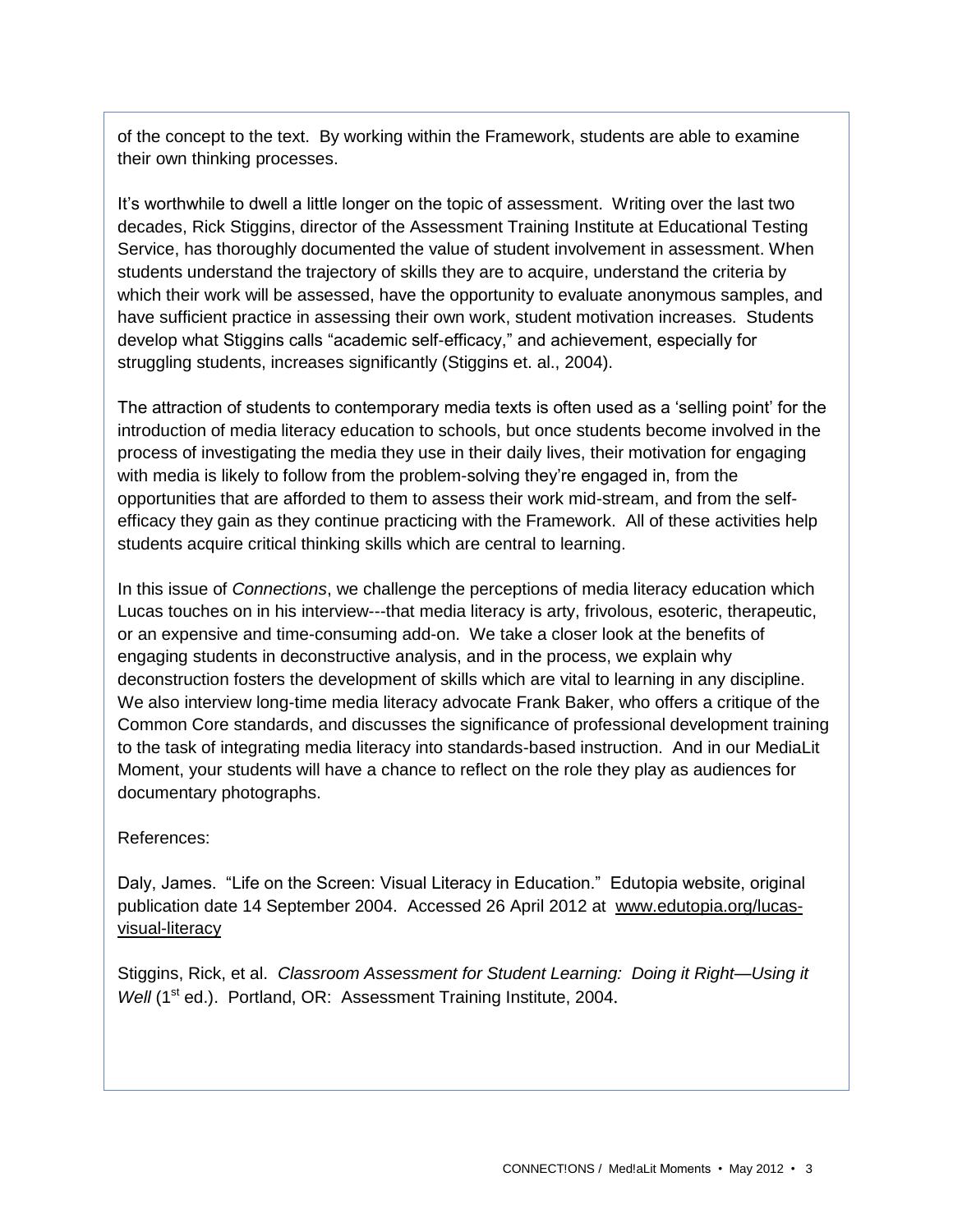of the concept to the text. By working within the Framework, students are able to examine their own thinking processes.

It's worthwhile to dwell a little longer on the topic of assessment. Writing over the last two decades, Rick Stiggins, director of the Assessment Training Institute at Educational Testing Service, has thoroughly documented the value of student involvement in assessment. When students understand the trajectory of skills they are to acquire, understand the criteria by which their work will be assessed, have the opportunity to evaluate anonymous samples, and have sufficient practice in assessing their own work, student motivation increases. Students develop what Stiggins calls "academic self-efficacy," and achievement, especially for struggling students, increases significantly (Stiggins et. al., 2004).

The attraction of students to contemporary media texts is often used as a 'selling point' for the introduction of media literacy education to schools, but once students become involved in the process of investigating the media they use in their daily lives, their motivation for engaging with media is likely to follow from the problem-solving they're engaged in, from the opportunities that are afforded to them to assess their work mid-stream, and from the selfefficacy they gain as they continue practicing with the Framework. All of these activities help students acquire critical thinking skills which are central to learning.

In this issue of *Connections*, we challenge the perceptions of media literacy education which Lucas touches on in his interview---that media literacy is arty, frivolous, esoteric, therapeutic, or an expensive and time-consuming add-on. We take a closer look at the benefits of engaging students in deconstructive analysis, and in the process, we explain why deconstruction fosters the development of skills which are vital to learning in any discipline. We also interview long-time media literacy advocate Frank Baker, who offers a critique of the Common Core standards, and discusses the significance of professional development training to the task of integrating media literacy into standards-based instruction. And in our MediaLit Moment, your students will have a chance to reflect on the role they play as audiences for documentary photographs.

### References:

Daly, James. "Life on the Screen: Visual Literacy in Education." Edutopia website, original publication date 14 September 2004. Accessed 26 April 2012 at [www.edutopia.org/lucas](http://www.edutopia.org/lucas-visual-literacy)[visual-literacy](http://www.edutopia.org/lucas-visual-literacy)

Stiggins, Rick, et al. *Classroom Assessment for Student Learning: Doing it Right—Using it Well* (1<sup>st</sup> ed.). Portland, OR: Assessment Training Institute, 2004.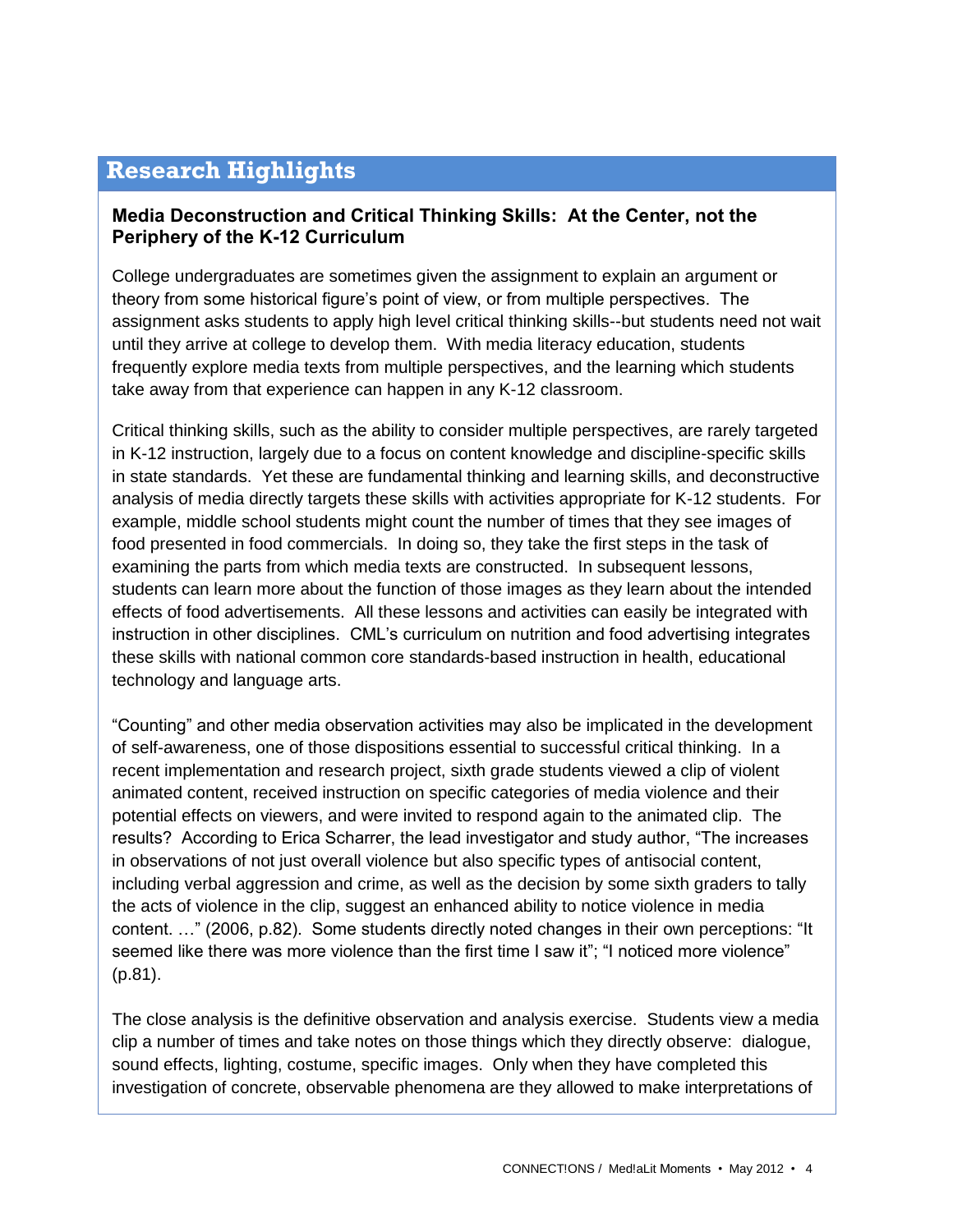# **Research Highlights**

## **Media Deconstruction and Critical Thinking Skills: At the Center, not the Periphery of the K-12 Curriculum**

College undergraduates are sometimes given the assignment to explain an argument or theory from some historical figure's point of view, or from multiple perspectives. The assignment asks students to apply high level critical thinking skills--but students need not wait until they arrive at college to develop them. With media literacy education, students frequently explore media texts from multiple perspectives, and the learning which students take away from that experience can happen in any K-12 classroom.

Critical thinking skills, such as the ability to consider multiple perspectives, are rarely targeted in K-12 instruction, largely due to a focus on content knowledge and discipline-specific skills in state standards. Yet these are fundamental thinking and learning skills, and deconstructive analysis of media directly targets these skills with activities appropriate for K-12 students. For example, middle school students might count the number of times that they see images of food presented in food commercials. In doing so, they take the first steps in the task of examining the parts from which media texts are constructed. In subsequent lessons, students can learn more about the function of those images as they learn about the intended effects of food advertisements. All these lessons and activities can easily be integrated with instruction in other disciplines. CML's curriculum on nutrition and food advertising integrates these skills with national common core standards-based instruction in health, educational technology and language arts.

"Counting" and other media observation activities may also be implicated in the development of self-awareness, one of those dispositions essential to successful critical thinking. In a recent implementation and research project, sixth grade students viewed a clip of violent animated content, received instruction on specific categories of media violence and their potential effects on viewers, and were invited to respond again to the animated clip. The results? According to Erica Scharrer, the lead investigator and study author, "The increases in observations of not just overall violence but also specific types of antisocial content, including verbal aggression and crime, as well as the decision by some sixth graders to tally the acts of violence in the clip, suggest an enhanced ability to notice violence in media content. …" (2006, p.82). Some students directly noted changes in their own perceptions: "It seemed like there was more violence than the first time I saw it"; "I noticed more violence" (p.81).

The close analysis is the definitive observation and analysis exercise. Students view a media clip a number of times and take notes on those things which they directly observe: dialogue, sound effects, lighting, costume, specific images. Only when they have completed this investigation of concrete, observable phenomena are they allowed to make interpretations of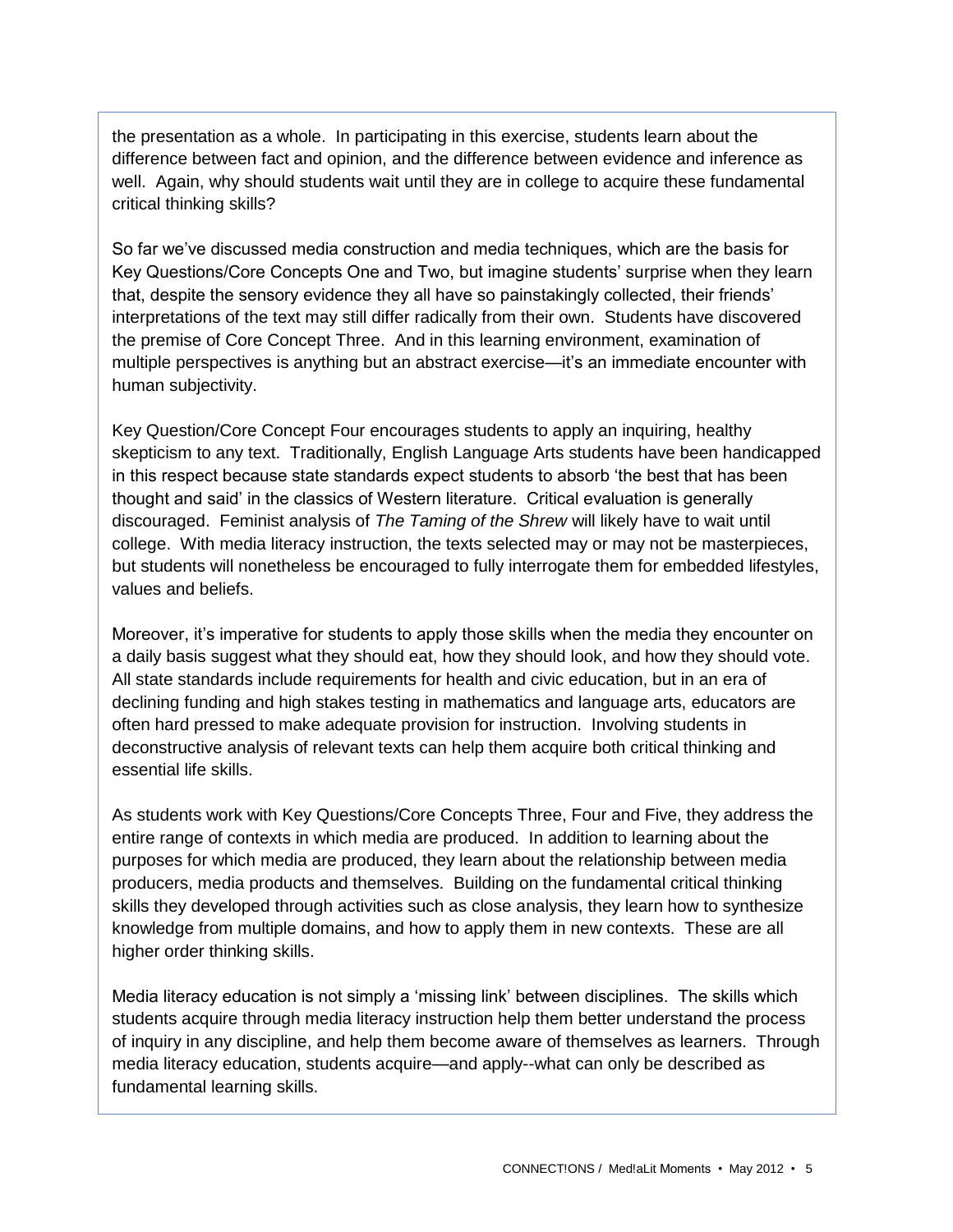the presentation as a whole. In participating in this exercise, students learn about the difference between fact and opinion, and the difference between evidence and inference as well. Again, why should students wait until they are in college to acquire these fundamental critical thinking skills?

So far we've discussed media construction and media techniques, which are the basis for Key Questions/Core Concepts One and Two, but imagine students' surprise when they learn that, despite the sensory evidence they all have so painstakingly collected, their friends' interpretations of the text may still differ radically from their own. Students have discovered the premise of Core Concept Three. And in this learning environment, examination of multiple perspectives is anything but an abstract exercise—it's an immediate encounter with human subjectivity.

Key Question/Core Concept Four encourages students to apply an inquiring, healthy skepticism to any text. Traditionally, English Language Arts students have been handicapped in this respect because state standards expect students to absorb 'the best that has been thought and said' in the classics of Western literature. Critical evaluation is generally discouraged. Feminist analysis of *The Taming of the Shrew* will likely have to wait until college. With media literacy instruction, the texts selected may or may not be masterpieces, but students will nonetheless be encouraged to fully interrogate them for embedded lifestyles, values and beliefs.

Moreover, it's imperative for students to apply those skills when the media they encounter on a daily basis suggest what they should eat, how they should look, and how they should vote. All state standards include requirements for health and civic education, but in an era of declining funding and high stakes testing in mathematics and language arts, educators are often hard pressed to make adequate provision for instruction. Involving students in deconstructive analysis of relevant texts can help them acquire both critical thinking and essential life skills.

As students work with Key Questions/Core Concepts Three, Four and Five, they address the entire range of contexts in which media are produced. In addition to learning about the purposes for which media are produced, they learn about the relationship between media producers, media products and themselves. Building on the fundamental critical thinking skills they developed through activities such as close analysis, they learn how to synthesize knowledge from multiple domains, and how to apply them in new contexts. These are all higher order thinking skills.

Media literacy education is not simply a 'missing link' between disciplines. The skills which students acquire through media literacy instruction help them better understand the process of inquiry in any discipline, and help them become aware of themselves as learners. Through media literacy education, students acquire—and apply--what can only be described as fundamental learning skills.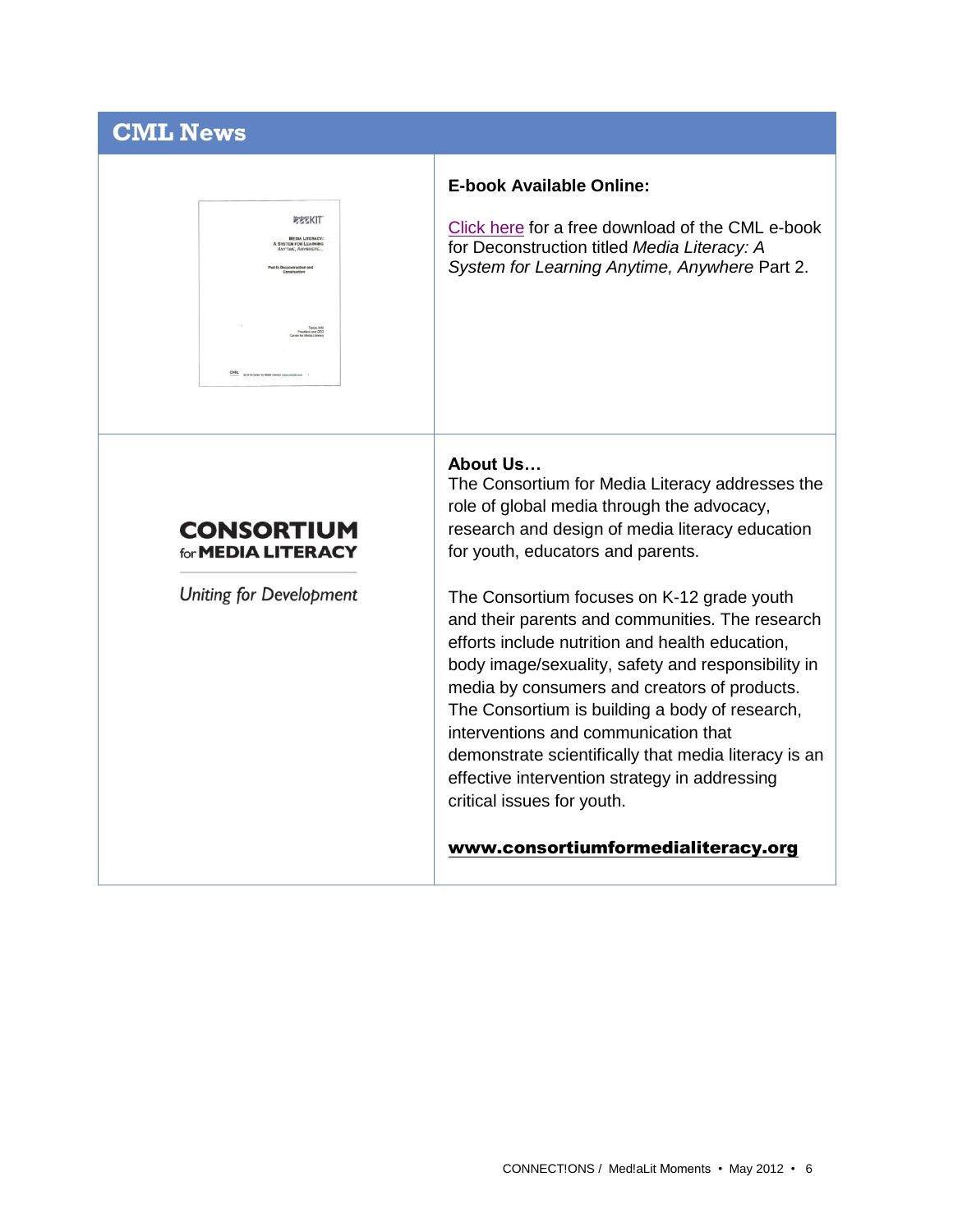# **CML News**



### **E-book Available Online:**

[Click here](http://www.medialit.org/reading-room/media-literacy-system-learning-anytime-anywhere-part-2) for a free download of the CML e-book for Deconstruction titled *Media Literacy: A System for Learning Anytime, Anywhere* Part 2.

# **CONSORTIUM** for **MEDIA LITERACY**

**Uniting for Development** 

#### **About Us…**

The Consortium for Media Literacy addresses the role of global media through the advocacy, research and design of media literacy education for youth, educators and parents.

The Consortium focuses on K-12 grade youth and their parents and communities. The research efforts include nutrition and health education, body image/sexuality, safety and responsibility in media by consumers and creators of products. The Consortium is building a body of research, interventions and communication that demonstrate scientifically that media literacy is an effective intervention strategy in addressing critical issues for youth.

## [www.consortiumformedialiteracy.org](http://www.consortiumformedialiteracy.org/)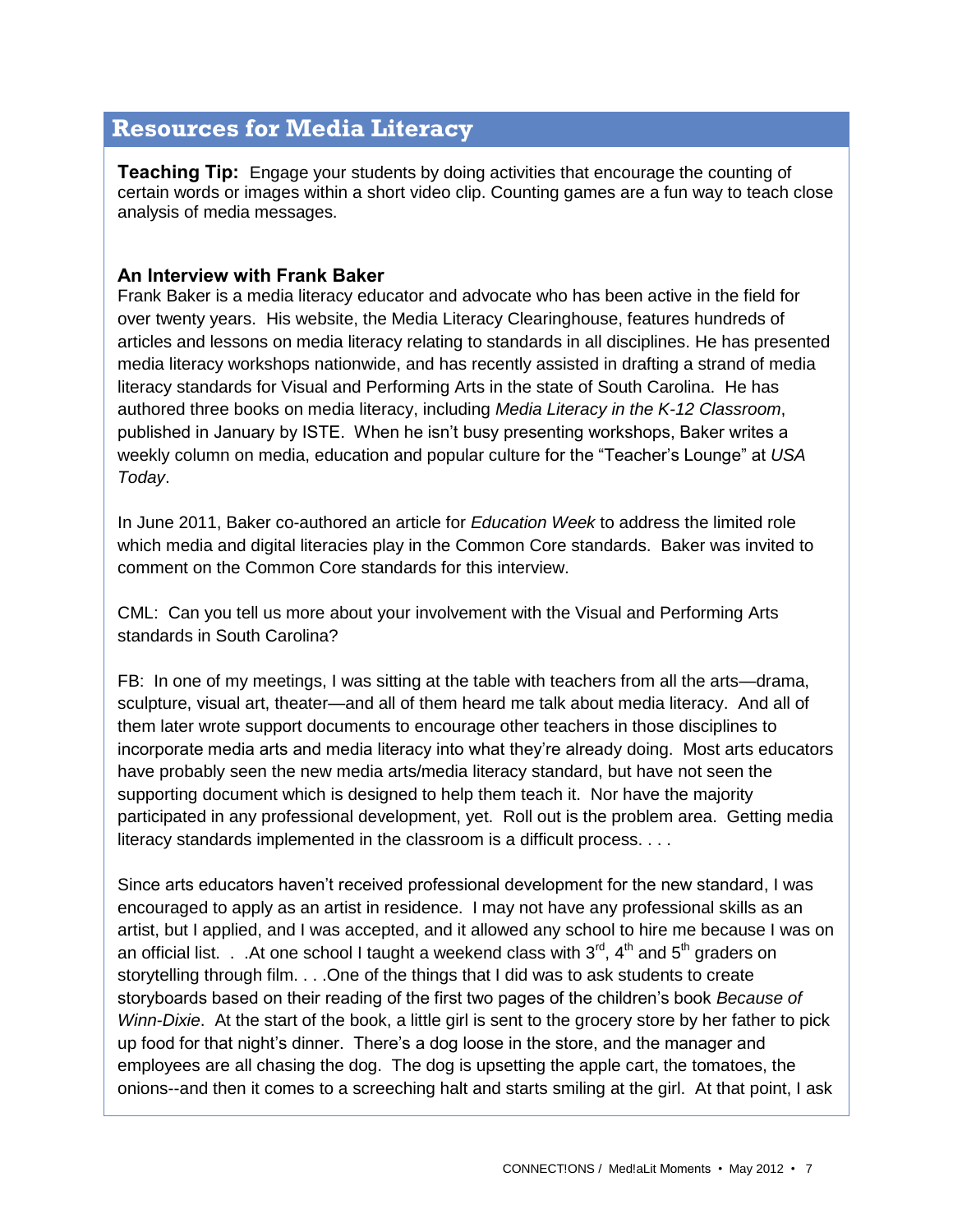# **Resources for Media Literacy**

**Teaching Tip:** Engage your students by doing activities that encourage the counting of certain words or images within a short video clip. Counting games are a fun way to teach close analysis of media messages.

# **An Interview with Frank Baker**

Frank Baker is a media literacy educator and advocate who has been active in the field for over twenty years. His website, the Media Literacy Clearinghouse, features hundreds of articles and lessons on media literacy relating to standards in all disciplines. He has presented media literacy workshops nationwide, and has recently assisted in drafting a strand of media literacy standards for Visual and Performing Arts in the state of South Carolina. He has authored three books on media literacy, including *Media Literacy in the K-12 Classroom*, published in January by ISTE. When he isn't busy presenting workshops, Baker writes a weekly column on media, education and popular culture for the "Teacher's Lounge" at *USA Today*.

In June 2011, Baker co-authored an article for *Education Week* to address the limited role which media and digital literacies play in the Common Core standards. Baker was invited to comment on the Common Core standards for this interview.

CML: Can you tell us more about your involvement with the Visual and Performing Arts standards in South Carolina?

FB: In one of my meetings, I was sitting at the table with teachers from all the arts—drama, sculpture, visual art, theater—and all of them heard me talk about media literacy. And all of them later wrote support documents to encourage other teachers in those disciplines to incorporate media arts and media literacy into what they're already doing. Most arts educators have probably seen the new media arts/media literacy standard, but have not seen the supporting document which is designed to help them teach it. Nor have the majority participated in any professional development, yet. Roll out is the problem area. Getting media literacy standards implemented in the classroom is a difficult process. . . .

Since arts educators haven't received professional development for the new standard, I was encouraged to apply as an artist in residence. I may not have any professional skills as an artist, but I applied, and I was accepted, and it allowed any school to hire me because I was on an official list. . .At one school I taught a weekend class with  $3^{rd}$ ,  $4^{th}$  and  $5^{th}$  graders on storytelling through film. . . .One of the things that I did was to ask students to create storyboards based on their reading of the first two pages of the children's book *Because of Winn-Dixie*. At the start of the book, a little girl is sent to the grocery store by her father to pick up food for that night's dinner. There's a dog loose in the store, and the manager and employees are all chasing the dog. The dog is upsetting the apple cart, the tomatoes, the onions--and then it comes to a screeching halt and starts smiling at the girl. At that point, I ask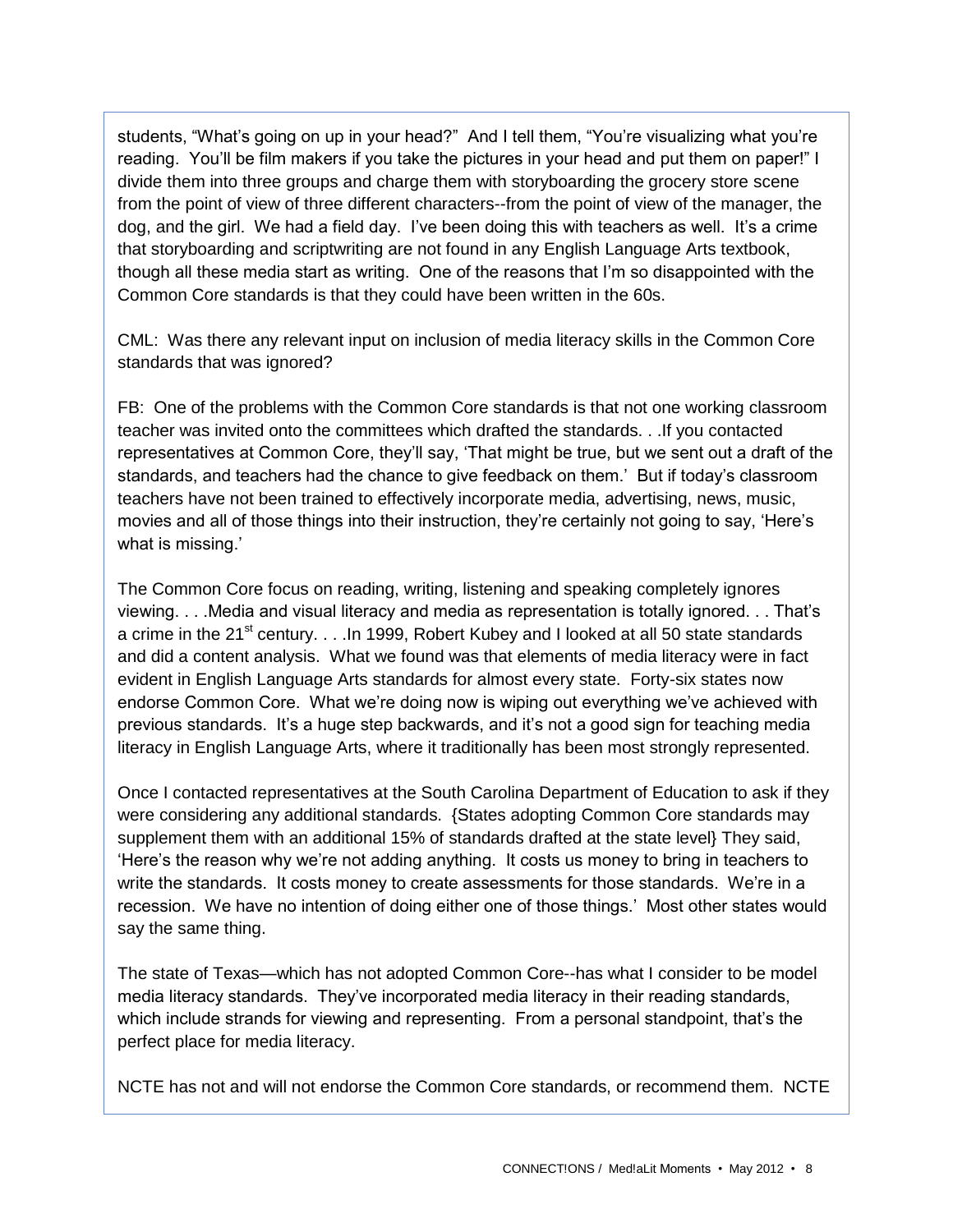students, "What's going on up in your head?" And I tell them, "You're visualizing what you're reading. You'll be film makers if you take the pictures in your head and put them on paper!" I divide them into three groups and charge them with storyboarding the grocery store scene from the point of view of three different characters--from the point of view of the manager, the dog, and the girl. We had a field day. I've been doing this with teachers as well. It's a crime that storyboarding and scriptwriting are not found in any English Language Arts textbook, though all these media start as writing. One of the reasons that I'm so disappointed with the Common Core standards is that they could have been written in the 60s.

CML: Was there any relevant input on inclusion of media literacy skills in the Common Core standards that was ignored?

FB: One of the problems with the Common Core standards is that not one working classroom teacher was invited onto the committees which drafted the standards. . .If you contacted representatives at Common Core, they'll say, 'That might be true, but we sent out a draft of the standards, and teachers had the chance to give feedback on them.' But if today's classroom teachers have not been trained to effectively incorporate media, advertising, news, music, movies and all of those things into their instruction, they're certainly not going to say, 'Here's what is missing.'

The Common Core focus on reading, writing, listening and speaking completely ignores viewing. . . .Media and visual literacy and media as representation is totally ignored. . . That's a crime in the 21<sup>st</sup> century. . . . In 1999, Robert Kubey and I looked at all 50 state standards and did a content analysis. What we found was that elements of media literacy were in fact evident in English Language Arts standards for almost every state. Forty-six states now endorse Common Core. What we're doing now is wiping out everything we've achieved with previous standards. It's a huge step backwards, and it's not a good sign for teaching media literacy in English Language Arts, where it traditionally has been most strongly represented.

Once I contacted representatives at the South Carolina Department of Education to ask if they were considering any additional standards. {States adopting Common Core standards may supplement them with an additional 15% of standards drafted at the state level} They said, 'Here's the reason why we're not adding anything. It costs us money to bring in teachers to write the standards. It costs money to create assessments for those standards. We're in a recession. We have no intention of doing either one of those things.' Most other states would say the same thing.

The state of Texas—which has not adopted Common Core--has what I consider to be model media literacy standards. They've incorporated media literacy in their reading standards, which include strands for viewing and representing. From a personal standpoint, that's the perfect place for media literacy.

NCTE has not and will not endorse the Common Core standards, or recommend them. NCTE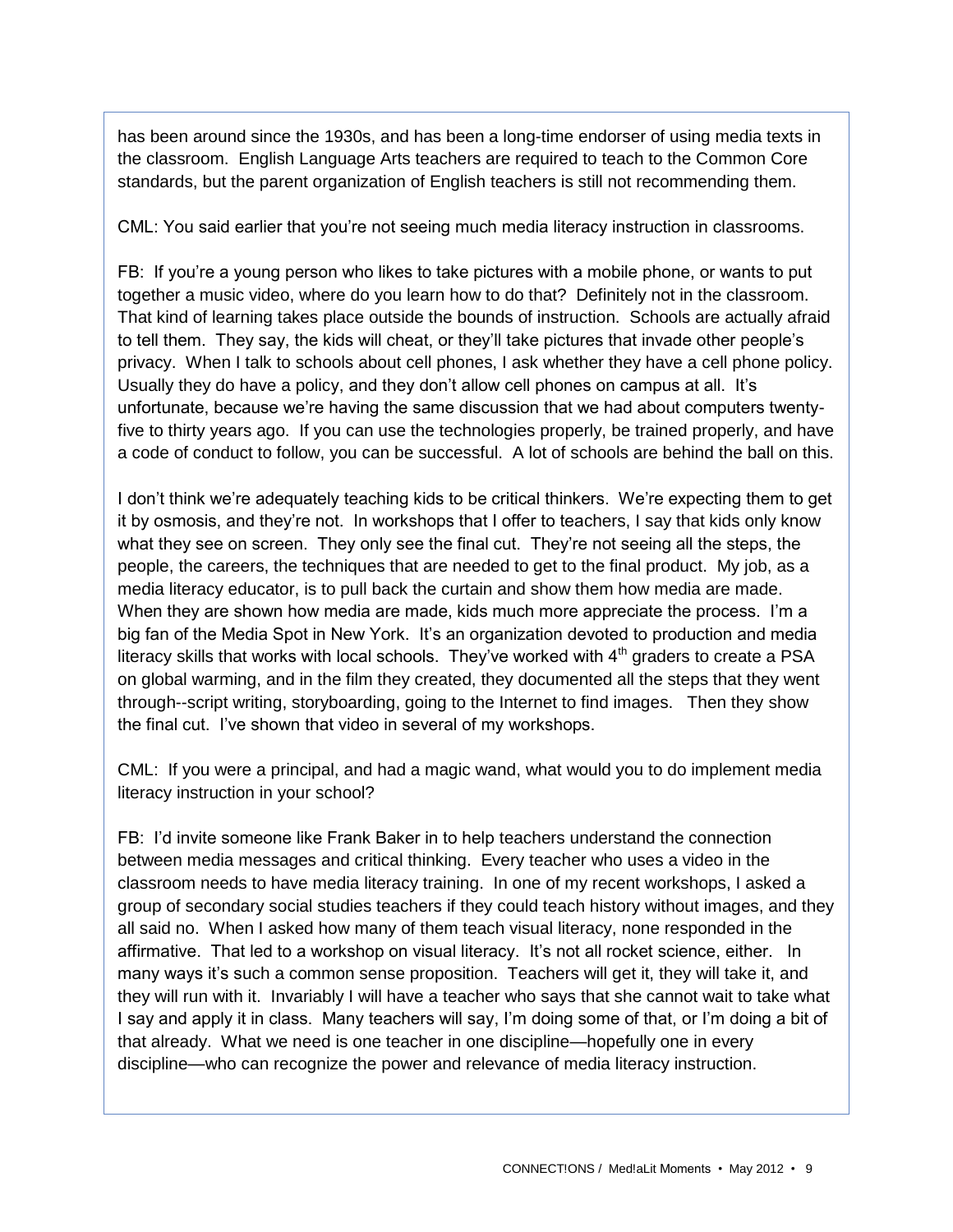has been around since the 1930s, and has been a long-time endorser of using media texts in the classroom. English Language Arts teachers are required to teach to the Common Core standards, but the parent organization of English teachers is still not recommending them.

CML: You said earlier that you're not seeing much media literacy instruction in classrooms.

FB: If you're a young person who likes to take pictures with a mobile phone, or wants to put together a music video, where do you learn how to do that? Definitely not in the classroom. That kind of learning takes place outside the bounds of instruction. Schools are actually afraid to tell them. They say, the kids will cheat, or they'll take pictures that invade other people's privacy. When I talk to schools about cell phones, I ask whether they have a cell phone policy. Usually they do have a policy, and they don't allow cell phones on campus at all. It's unfortunate, because we're having the same discussion that we had about computers twentyfive to thirty years ago. If you can use the technologies properly, be trained properly, and have a code of conduct to follow, you can be successful. A lot of schools are behind the ball on this.

I don't think we're adequately teaching kids to be critical thinkers. We're expecting them to get it by osmosis, and they're not. In workshops that I offer to teachers, I say that kids only know what they see on screen. They only see the final cut. They're not seeing all the steps, the people, the careers, the techniques that are needed to get to the final product. My job, as a media literacy educator, is to pull back the curtain and show them how media are made. When they are shown how media are made, kids much more appreciate the process. I'm a big fan of the Media Spot in New York. It's an organization devoted to production and media literacy skills that works with local schools. They've worked with  $4<sup>th</sup>$  graders to create a PSA on global warming, and in the film they created, they documented all the steps that they went through--script writing, storyboarding, going to the Internet to find images. Then they show the final cut. I've shown that video in several of my workshops.

CML: If you were a principal, and had a magic wand, what would you to do implement media literacy instruction in your school?

FB: I'd invite someone like Frank Baker in to help teachers understand the connection between media messages and critical thinking. Every teacher who uses a video in the classroom needs to have media literacy training. In one of my recent workshops, I asked a group of secondary social studies teachers if they could teach history without images, and they all said no. When I asked how many of them teach visual literacy, none responded in the affirmative. That led to a workshop on visual literacy. It's not all rocket science, either. In many ways it's such a common sense proposition. Teachers will get it, they will take it, and they will run with it. Invariably I will have a teacher who says that she cannot wait to take what I say and apply it in class. Many teachers will say, I'm doing some of that, or I'm doing a bit of that already. What we need is one teacher in one discipline—hopefully one in every discipline—who can recognize the power and relevance of media literacy instruction.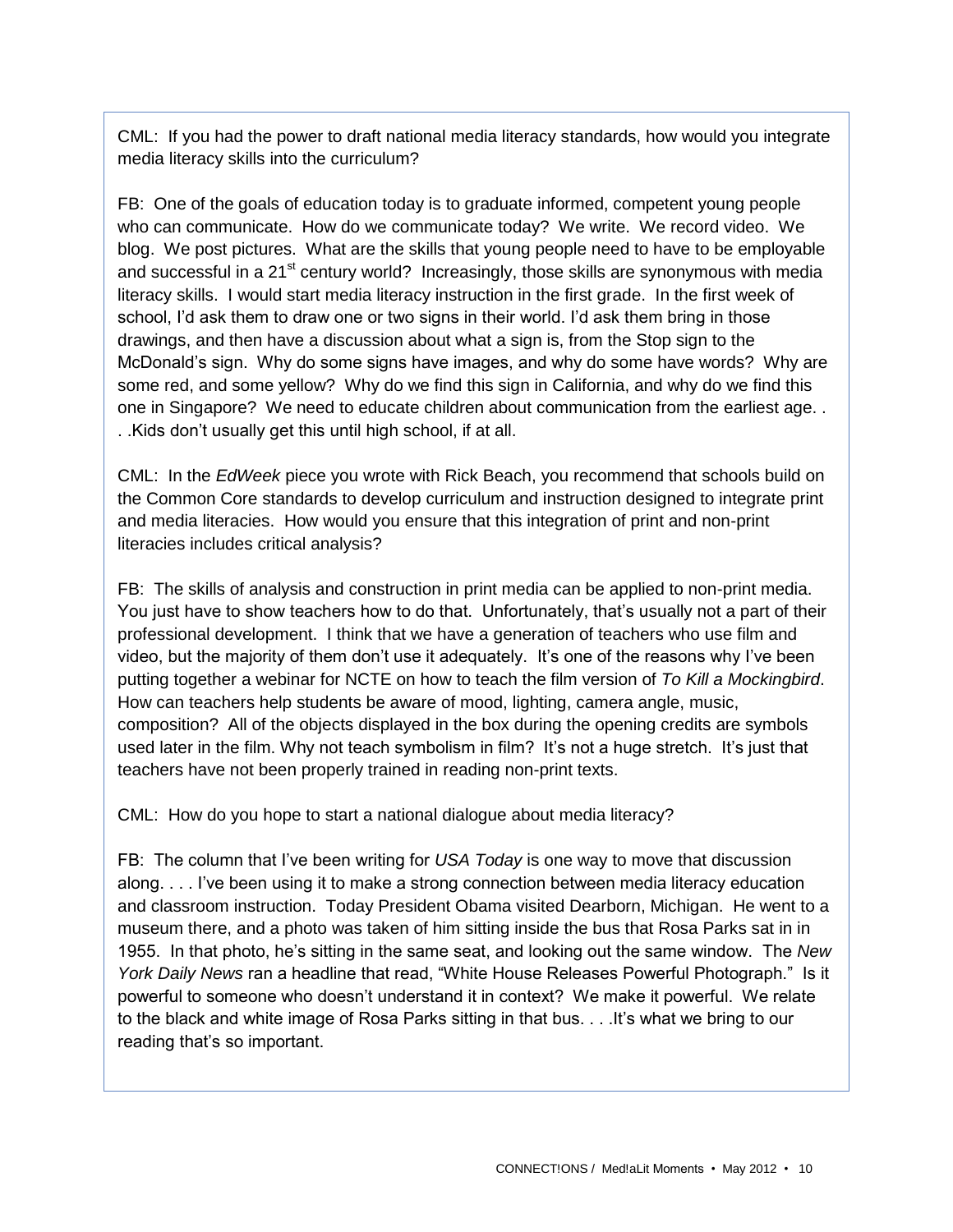CML: If you had the power to draft national media literacy standards, how would you integrate media literacy skills into the curriculum?

FB: One of the goals of education today is to graduate informed, competent young people who can communicate. How do we communicate today? We write. We record video. We blog. We post pictures. What are the skills that young people need to have to be employable and successful in a  $21<sup>st</sup>$  century world? Increasingly, those skills are synonymous with media literacy skills. I would start media literacy instruction in the first grade. In the first week of school, I'd ask them to draw one or two signs in their world. I'd ask them bring in those drawings, and then have a discussion about what a sign is, from the Stop sign to the McDonald's sign. Why do some signs have images, and why do some have words? Why are some red, and some yellow? Why do we find this sign in California, and why do we find this one in Singapore? We need to educate children about communication from the earliest age. . . .Kids don't usually get this until high school, if at all.

CML: In the *EdWeek* piece you wrote with Rick Beach, you recommend that schools build on the Common Core standards to develop curriculum and instruction designed to integrate print and media literacies. How would you ensure that this integration of print and non-print literacies includes critical analysis?

FB: The skills of analysis and construction in print media can be applied to non-print media. You just have to show teachers how to do that. Unfortunately, that's usually not a part of their professional development. I think that we have a generation of teachers who use film and video, but the majority of them don't use it adequately. It's one of the reasons why I've been putting together a webinar for NCTE on how to teach the film version of *To Kill a Mockingbird*. How can teachers help students be aware of mood, lighting, camera angle, music, composition? All of the objects displayed in the box during the opening credits are symbols used later in the film. Why not teach symbolism in film? It's not a huge stretch. It's just that teachers have not been properly trained in reading non-print texts.

CML: How do you hope to start a national dialogue about media literacy?

FB: The column that I've been writing for *USA Today* is one way to move that discussion along. . . . I've been using it to make a strong connection between media literacy education and classroom instruction. Today President Obama visited Dearborn, Michigan. He went to a museum there, and a photo was taken of him sitting inside the bus that Rosa Parks sat in in 1955. In that photo, he's sitting in the same seat, and looking out the same window. The *New York Daily News* ran a headline that read, "White House Releases Powerful Photograph." Is it powerful to someone who doesn't understand it in context? We make it powerful. We relate to the black and white image of Rosa Parks sitting in that bus. . . .It's what we bring to our reading that's so important.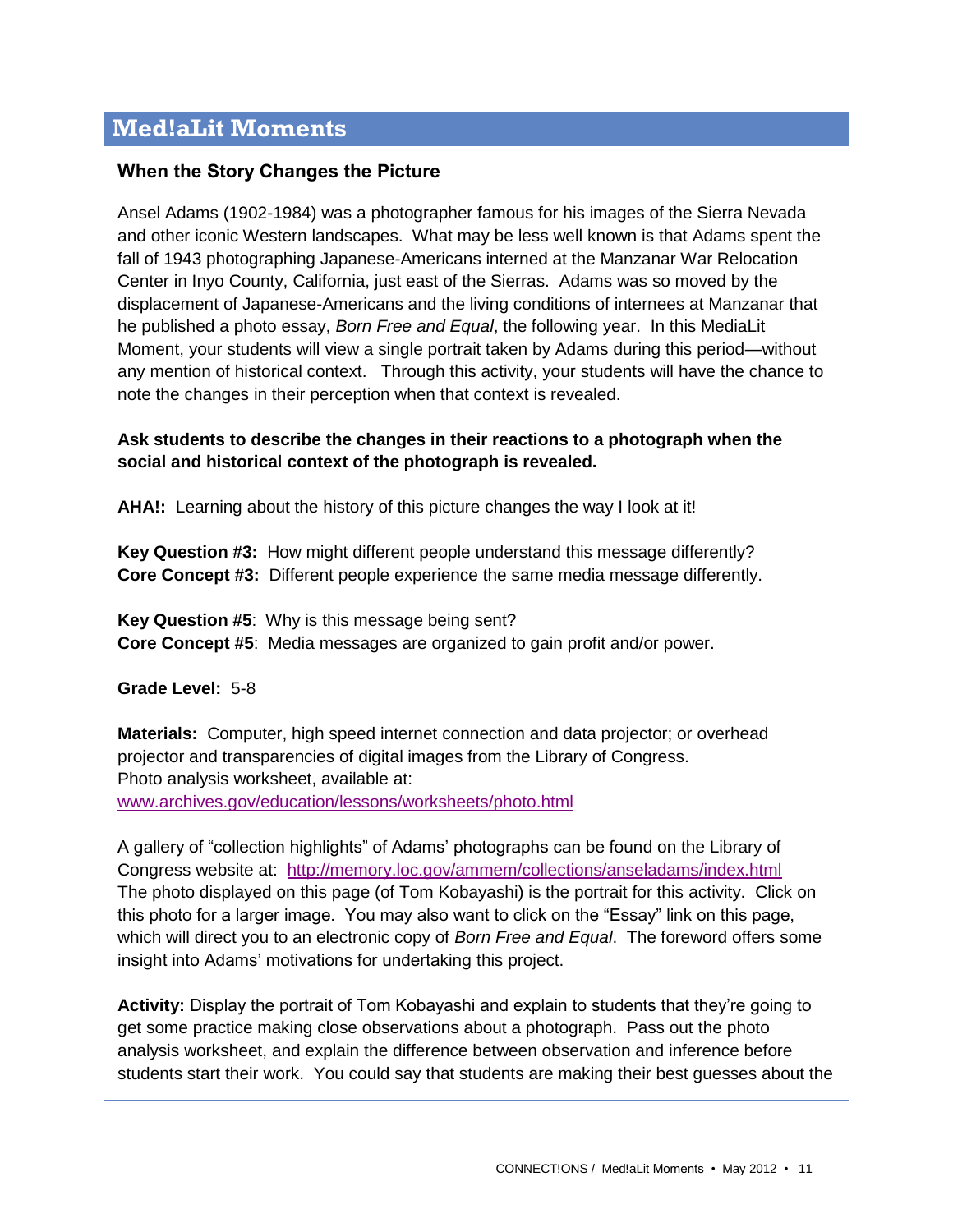# **Med!aLit Moments**

# **When the Story Changes the Picture**

Ansel Adams (1902-1984) was a photographer famous for his images of the Sierra Nevada and other iconic Western landscapes. What may be less well known is that Adams spent the fall of 1943 photographing Japanese-Americans interned at the Manzanar War Relocation Center in Inyo County, California, just east of the Sierras. Adams was so moved by the displacement of Japanese-Americans and the living conditions of internees at Manzanar that he published a photo essay, *Born Free and Equal*, the following year. In this MediaLit Moment, your students will view a single portrait taken by Adams during this period—without any mention of historical context. Through this activity, your students will have the chance to note the changes in their perception when that context is revealed.

## **Ask students to describe the changes in their reactions to a photograph when the social and historical context of the photograph is revealed.**

**AHA!:** Learning about the history of this picture changes the way I look at it!

**Key Question #3:** How might different people understand this message differently? **Core Concept #3:** Different people experience the same media message differently.

**Key Question #5**: Why is this message being sent? **Core Concept #5**: Media messages are organized to gain profit and/or power.

**Grade Level:** 5-8

**Materials:** Computer, high speed internet connection and data projector; or overhead projector and transparencies of digital images from the Library of Congress. Photo analysis worksheet, available at: [www.archives.gov/education/lessons/worksheets/photo.html](http://www.archives.gov/education/lessons/worksheets/photo.html)

A gallery of "collection highlights" of Adams' photographs can be found on the Library of Congress website at: <http://memory.loc.gov/ammem/collections/anseladams/index.html> The photo displayed on this page (of Tom Kobayashi) is the portrait for this activity. Click on this photo for a larger image. You may also want to click on the "Essay" link on this page, which will direct you to an electronic copy of *Born Free and Equal*. The foreword offers some insight into Adams' motivations for undertaking this project.

**Activity:** Display the portrait of Tom Kobayashi and explain to students that they're going to get some practice making close observations about a photograph. Pass out the photo analysis worksheet, and explain the difference between observation and inference before students start their work. You could say that students are making their best guesses about the